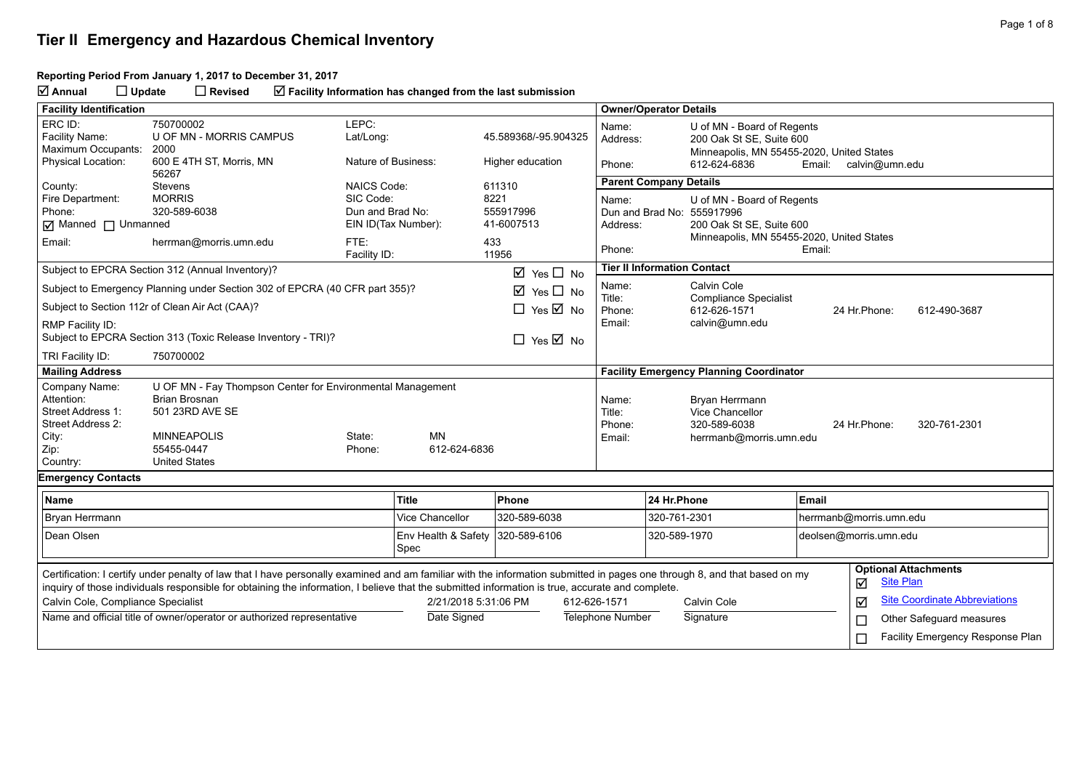#### **Tier II Emergency and Hazardous Chemical Inventory**

#### **Reporting Period From January 1, 2017 to December 31, 2017**

**Annual Update Revised Facility Information has changed from the last submission**

| <b>Facility Identification</b>                                                                                                                                                                                                                                                                                                |                                                                                                                                           |                                                     |                      |                                           |              | <b>Owner/Operator Details</b>                   |                                                                                                                               |                         |                                                 |  |
|-------------------------------------------------------------------------------------------------------------------------------------------------------------------------------------------------------------------------------------------------------------------------------------------------------------------------------|-------------------------------------------------------------------------------------------------------------------------------------------|-----------------------------------------------------|----------------------|-------------------------------------------|--------------|-------------------------------------------------|-------------------------------------------------------------------------------------------------------------------------------|-------------------------|-------------------------------------------------|--|
| ERC ID:<br>Facility Name:<br>Maximum Occupants:<br><b>Physical Location:</b>                                                                                                                                                                                                                                                  | 750700002<br>U OF MN - MORRIS CAMPUS<br>2000<br>600 E 4TH ST, Morris, MN                                                                  | LEPC:<br>Lat/Long:<br>Nature of Business:           |                      | 45.589368/-95.904325<br>Higher education  |              | Name:<br>Address:<br>Phone:                     | U of MN - Board of Regents<br>200 Oak St SE, Suite 600<br>Minneapolis, MN 55455-2020, United States<br>612-624-6836<br>Email: |                         | calvin@umn.edu                                  |  |
|                                                                                                                                                                                                                                                                                                                               | 56267                                                                                                                                     |                                                     |                      |                                           |              | <b>Parent Company Details</b>                   |                                                                                                                               |                         |                                                 |  |
| County:<br>Fire Department:<br>Phone:<br><b>Ø</b> Manned □ Unmanned                                                                                                                                                                                                                                                           | <b>Stevens</b><br><b>MORRIS</b><br>320-589-6038                                                                                           | <b>NAICS Code:</b><br>SIC Code:<br>Dun and Brad No: | EIN ID(Tax Number):  | 611310<br>8221<br>555917996<br>41-6007513 |              | Name:<br>Dun and Brad No: 555917996<br>Address: | U of MN - Board of Regents<br>200 Oak St SE, Suite 600<br>Minneapolis, MN 55455-2020, United States                           |                         |                                                 |  |
| Email:                                                                                                                                                                                                                                                                                                                        | herrman@morris.umn.edu                                                                                                                    | FTE:<br>Facility ID:                                |                      | 433<br>11956                              |              | Phone:                                          | Email:                                                                                                                        |                         |                                                 |  |
|                                                                                                                                                                                                                                                                                                                               | Subject to EPCRA Section 312 (Annual Inventory)?                                                                                          |                                                     |                      | $\boxtimes$ Yes $\Box$ No                 |              | <b>Tier II Information Contact</b>              |                                                                                                                               |                         |                                                 |  |
|                                                                                                                                                                                                                                                                                                                               | Subject to Emergency Planning under Section 302 of EPCRA (40 CFR part 355)?                                                               |                                                     |                      | $\boxtimes$ Yes $\Box$ No                 |              | Name:                                           | Calvin Cole                                                                                                                   |                         |                                                 |  |
|                                                                                                                                                                                                                                                                                                                               | Subject to Section 112r of Clean Air Act (CAA)?                                                                                           |                                                     |                      | $\Box$ Yes $\overline{\boxtimes}$ No      |              | Title:<br>Phone:                                | <b>Compliance Specialist</b><br>612-626-1571                                                                                  | 24 Hr.Phone:            | 612-490-3687                                    |  |
| RMP Facility ID:                                                                                                                                                                                                                                                                                                              | Subject to EPCRA Section 313 (Toxic Release Inventory - TRI)?                                                                             |                                                     |                      | $\Box$ Yes $\overline{\boxtimes}$ No      |              | Email:                                          | calvin@umn.edu                                                                                                                |                         |                                                 |  |
| TRI Facility ID:                                                                                                                                                                                                                                                                                                              | 750700002                                                                                                                                 |                                                     |                      |                                           |              |                                                 |                                                                                                                               |                         |                                                 |  |
| <b>Mailing Address</b>                                                                                                                                                                                                                                                                                                        |                                                                                                                                           |                                                     |                      |                                           |              |                                                 | <b>Facility Emergency Planning Coordinator</b>                                                                                |                         |                                                 |  |
| Company Name:<br>Attention:<br>Street Address 1:<br>Street Address 2:<br>City:<br>Zip:                                                                                                                                                                                                                                        | U OF MN - Fay Thompson Center for Environmental Management<br><b>Brian Brosnan</b><br>501 23RD AVE SE<br><b>MINNEAPOLIS</b><br>55455-0447 | State:<br>Phone:                                    | MN<br>612-624-6836   |                                           |              | Name:<br>Title:<br>Phone:<br>Email:             | Bryan Herrmann<br>Vice Chancellor<br>320-589-6038<br>herrmanb@morris.umn.edu                                                  | 24 Hr. Phone:           | 320-761-2301                                    |  |
| Country:                                                                                                                                                                                                                                                                                                                      | <b>United States</b>                                                                                                                      |                                                     |                      |                                           |              |                                                 |                                                                                                                               |                         |                                                 |  |
| <b>Emergency Contacts</b>                                                                                                                                                                                                                                                                                                     |                                                                                                                                           |                                                     |                      |                                           |              |                                                 |                                                                                                                               |                         |                                                 |  |
| Name                                                                                                                                                                                                                                                                                                                          |                                                                                                                                           |                                                     | <b>Title</b>         | Phone                                     |              | 24 Hr.Phone                                     | Email                                                                                                                         |                         |                                                 |  |
| Bryan Herrmann                                                                                                                                                                                                                                                                                                                |                                                                                                                                           | <b>Vice Chancellor</b>                              | 320-589-6038         |                                           |              | 320-761-2301                                    |                                                                                                                               | herrmanb@morris.umn.edu |                                                 |  |
| Dean Olsen                                                                                                                                                                                                                                                                                                                    |                                                                                                                                           | 320-589-6106<br>Env Health & Safety<br>Spec         |                      |                                           |              | 320-589-1970                                    |                                                                                                                               |                         | deolsen@morris.umn.edu                          |  |
| Certification: I certify under penalty of law that I have personally examined and am familiar with the information submitted in pages one through 8, and that based on my<br>inquiry of those individuals responsible for obtaining the information, I believe that the submitted information is true, accurate and complete. |                                                                                                                                           |                                                     |                      |                                           |              |                                                 |                                                                                                                               | ☑                       | <b>Optional Attachments</b><br><b>Site Plan</b> |  |
| Calvin Cole, Compliance Specialist                                                                                                                                                                                                                                                                                            |                                                                                                                                           |                                                     | 2/21/2018 5:31:06 PM |                                           | 612-626-1571 |                                                 | Calvin Cole                                                                                                                   | ☑                       | <b>Site Coordinate Abbreviations</b>            |  |
|                                                                                                                                                                                                                                                                                                                               | Name and official title of owner/operator or authorized representative                                                                    |                                                     | Date Signed          |                                           |              | <b>Telephone Number</b>                         | Signature                                                                                                                     | $\Box$                  | Other Safeguard measures                        |  |
|                                                                                                                                                                                                                                                                                                                               |                                                                                                                                           |                                                     |                      |                                           |              |                                                 |                                                                                                                               | П                       | Facility Emergency Response Plan                |  |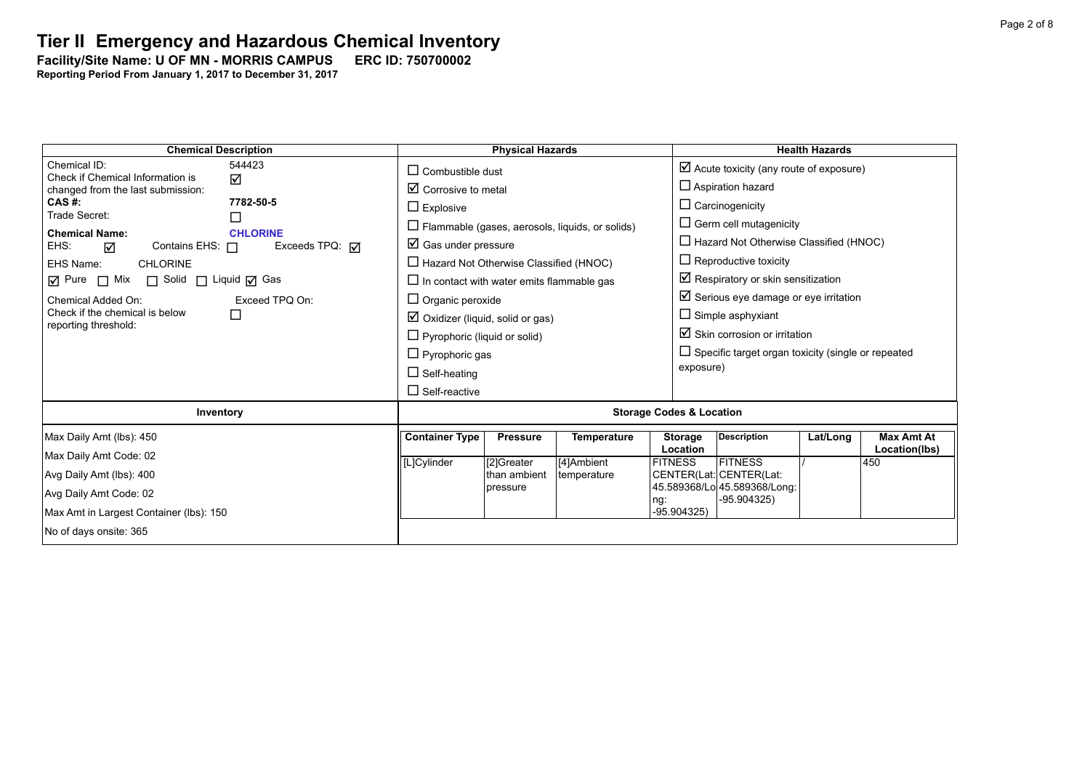Facility/Site Name: U OF MN - MORRIS CAMPUS ERC ID: 750700002

| <b>Chemical Description</b>                                | <b>Physical Hazards</b>                        |                                                  |                 |                                                        | <b>Health Hazards</b>                              |                                                           |          |                      |  |
|------------------------------------------------------------|------------------------------------------------|--------------------------------------------------|-----------------|--------------------------------------------------------|----------------------------------------------------|-----------------------------------------------------------|----------|----------------------|--|
| Chemical ID:<br>544423<br>Check if Chemical Information is | $\Box$ Combustible dust                        |                                                  |                 |                                                        | $\boxtimes$ Acute toxicity (any route of exposure) |                                                           |          |                      |  |
| ☑<br>changed from the last submission:                     | $\boxtimes$ Corrosive to metal                 |                                                  |                 |                                                        | $\Box$ Aspiration hazard                           |                                                           |          |                      |  |
| CAS #:<br>Trade Secret:                                    | 7782-50-5                                      | $\Box$ Explosive                                 |                 |                                                        |                                                    | $\Box$ Carcinogenicity                                    |          |                      |  |
|                                                            | □                                              |                                                  |                 | $\Box$ Flammable (gases, aerosols, liquids, or solids) |                                                    | $\Box$ Germ cell mutagenicity                             |          |                      |  |
| <b>Chemical Name:</b><br>Contains EHS: $\Box$<br>EHS:<br>☑ | <b>CHLORINE</b><br>Exceeds TPQ: $\overline{M}$ | $\boxtimes$ Gas under pressure                   |                 |                                                        |                                                    | $\Box$ Hazard Not Otherwise Classified (HNOC)             |          |                      |  |
| EHS Name:<br><b>CHLORINE</b>                               |                                                | $\Box$ Hazard Not Otherwise Classified (HNOC)    |                 |                                                        |                                                    | $\Box$ Reproductive toxicity                              |          |                      |  |
| ☑ Pure □ Mix □ Solid □ Liquid ☑ Gas                        |                                                | $\Box$ In contact with water emits flammable gas |                 |                                                        |                                                    | $\boxtimes$ Respiratory or skin sensitization             |          |                      |  |
| Chemical Added On:                                         | Exceed TPQ On:                                 | $\Box$ Organic peroxide                          |                 |                                                        |                                                    | $\boxtimes$ Serious eye damage or eye irritation          |          |                      |  |
| Check if the chemical is below<br>reporting threshold:     | $\Box$                                         | $\boxtimes$ Oxidizer (liquid, solid or gas)      |                 |                                                        |                                                    | $\Box$ Simple asphyxiant                                  |          |                      |  |
|                                                            |                                                | $\Box$ Pyrophoric (liquid or solid)              |                 |                                                        |                                                    | $\boxtimes$ Skin corrosion or irritation                  |          |                      |  |
|                                                            |                                                | $\Box$ Pyrophoric gas                            |                 |                                                        |                                                    | $\Box$ Specific target organ toxicity (single or repeated |          |                      |  |
|                                                            |                                                | $\Box$ Self-heating                              |                 |                                                        | exposure)                                          |                                                           |          |                      |  |
|                                                            |                                                | $\Box$ Self-reactive                             |                 |                                                        |                                                    |                                                           |          |                      |  |
| Inventory                                                  |                                                | <b>Storage Codes &amp; Location</b>              |                 |                                                        |                                                    |                                                           |          |                      |  |
| Max Daily Amt (lbs): 450                                   |                                                | <b>Container Type</b>                            | <b>Pressure</b> | <b>Temperature</b>                                     | <b>Storage</b>                                     | <b>Description</b>                                        | Lat/Long | <b>Max Amt At</b>    |  |
| Max Daily Amt Code: 02                                     |                                                |                                                  | [2]Greater      | [4]Ambient                                             | Location<br><b>FITNESS</b>                         | <b>FITNESS</b>                                            |          | Location(lbs)<br>450 |  |
| Avg Daily Amt (lbs): 400                                   |                                                | [L]Cylinder                                      | than ambient    | temperature                                            |                                                    | CENTER(Lat: CENTER(Lat:                                   |          |                      |  |
| Avg Daily Amt Code: 02                                     |                                                | pressure                                         |                 |                                                        | 45.589368/Lo 45.589368/Long:                       |                                                           |          |                      |  |
| Max Amt in Largest Container (lbs): 150                    |                                                |                                                  |                 | ng:<br>-95.904325)                                     | -95.904325)                                        |                                                           |          |                      |  |
| No of days onsite: 365                                     |                                                |                                                  |                 |                                                        |                                                    |                                                           |          |                      |  |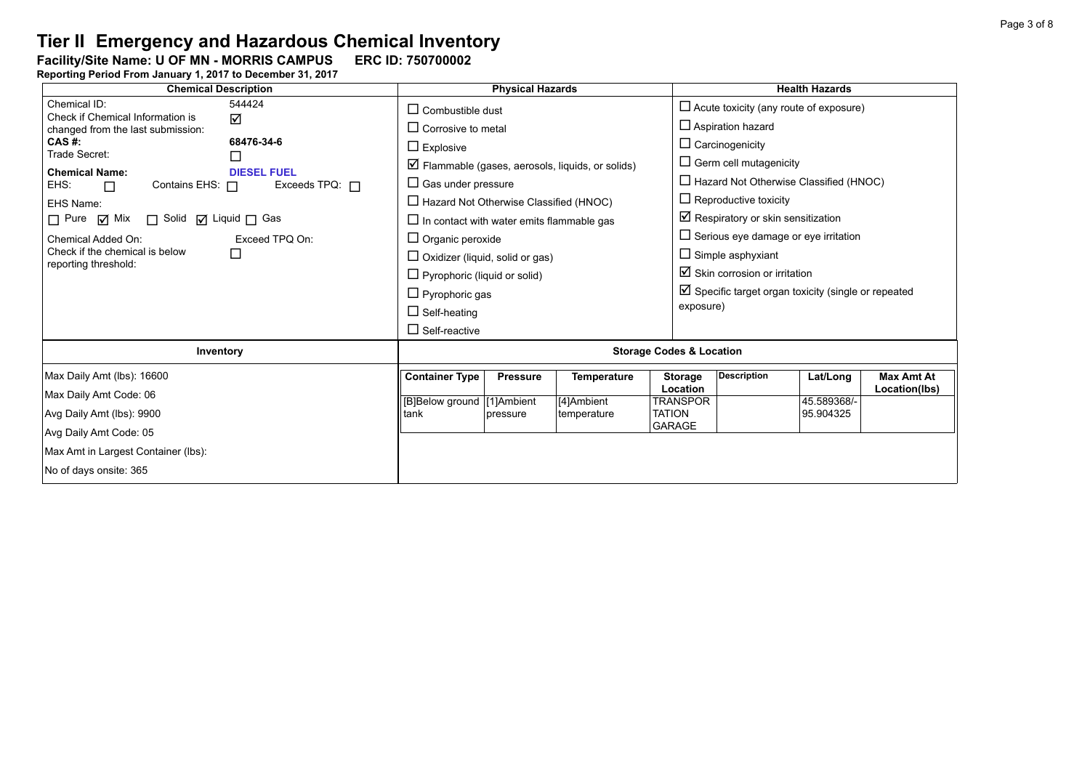Facility/Site Name: U OF MN - MORRIS CAMPUS ERC ID: 750700002

| <b>Chemical Description</b>                                                                                                                                                                                                                                                                                              |                                                                                                                                                                                                                                                                                                                | <b>Physical Hazards</b> |                                                                 |                                                         | <b>Health Hazards</b>                                                                                                                                                                                                                                                                                                                                    |                                    |  |  |
|--------------------------------------------------------------------------------------------------------------------------------------------------------------------------------------------------------------------------------------------------------------------------------------------------------------------------|----------------------------------------------------------------------------------------------------------------------------------------------------------------------------------------------------------------------------------------------------------------------------------------------------------------|-------------------------|-----------------------------------------------------------------|---------------------------------------------------------|----------------------------------------------------------------------------------------------------------------------------------------------------------------------------------------------------------------------------------------------------------------------------------------------------------------------------------------------------------|------------------------------------|--|--|
| Chemical ID:<br>544424<br>Check if Chemical Information is<br>☑<br>changed from the last submission:                                                                                                                                                                                                                     | $\Box$ Combustible dust<br>$\Box$ Corrosive to metal                                                                                                                                                                                                                                                           |                         |                                                                 |                                                         | $\Box$ Acute toxicity (any route of exposure)<br>$\Box$ Aspiration hazard                                                                                                                                                                                                                                                                                |                                    |  |  |
| CAS #:<br>68476-34-6<br>Trade Secret:<br><b>Chemical Name:</b><br><b>DIESEL FUEL</b><br>Exceeds TPQ: $\Box$<br>EHS:<br>Contains EHS: $\Box$<br>$\Box$<br>EHS Name:<br>$\Box$ Pure $\Box$ Mix<br>□ Solid ☑ Liquid □ Gas<br>Exceed TPQ On:<br>Chemical Added On:<br>Check if the chemical is below<br>reporting threshold: | $\Box$ Explosive<br>$\Box$ Gas under pressure<br>$\Box$ Hazard Not Otherwise Classified (HNOC)<br>$\Box$ In contact with water emits flammable gas<br>$\Box$ Organic peroxide<br>$\Box$ Oxidizer (liquid, solid or gas)<br>$\Box$ Pyrophoric (liquid or solid)<br>$\Box$ Pyrophoric gas<br>$\Box$ Self-heating |                         | $\triangledown$ Flammable (gases, aerosols, liquids, or solids) | $\Box$ Carcinogenicity<br>exposure)                     | $\Box$ Germ cell mutagenicity<br>$\Box$ Hazard Not Otherwise Classified (HNOC)<br>$\Box$ Reproductive toxicity<br>$\boxtimes$ Respiratory or skin sensitization<br>$\Box$ Serious eye damage or eye irritation<br>$\Box$ Simple asphyxiant<br>$\boxtimes$ Skin corrosion or irritation<br>$\boxtimes$ Specific target organ toxicity (single or repeated |                                    |  |  |
|                                                                                                                                                                                                                                                                                                                          | $\Box$ Self-reactive                                                                                                                                                                                                                                                                                           |                         |                                                                 |                                                         |                                                                                                                                                                                                                                                                                                                                                          |                                    |  |  |
| Inventory                                                                                                                                                                                                                                                                                                                | <b>Storage Codes &amp; Location</b>                                                                                                                                                                                                                                                                            |                         |                                                                 |                                                         |                                                                                                                                                                                                                                                                                                                                                          |                                    |  |  |
| Max Daily Amt (lbs): 16600                                                                                                                                                                                                                                                                                               | <b>Container Type</b>                                                                                                                                                                                                                                                                                          | <b>Pressure</b>         | <b>Temperature</b>                                              | <b>Description</b><br><b>Storage</b><br><b>Location</b> | Lat/Long                                                                                                                                                                                                                                                                                                                                                 | <b>Max Amt At</b><br>Location(lbs) |  |  |
| Max Daily Amt Code: 06<br>Avg Daily Amt (lbs): 9900<br>Avg Daily Amt Code: 05                                                                                                                                                                                                                                            | [B]Below ground [1]Ambient<br>tank                                                                                                                                                                                                                                                                             | pressure                | [4]Ambient<br>temperature                                       | <b>TRANSPOR</b><br><b>TATION</b><br><b>GARAGE</b>       | 45.589368/-<br>95.904325                                                                                                                                                                                                                                                                                                                                 |                                    |  |  |
| Max Amt in Largest Container (lbs):<br>No of days onsite: 365                                                                                                                                                                                                                                                            |                                                                                                                                                                                                                                                                                                                |                         |                                                                 |                                                         |                                                                                                                                                                                                                                                                                                                                                          |                                    |  |  |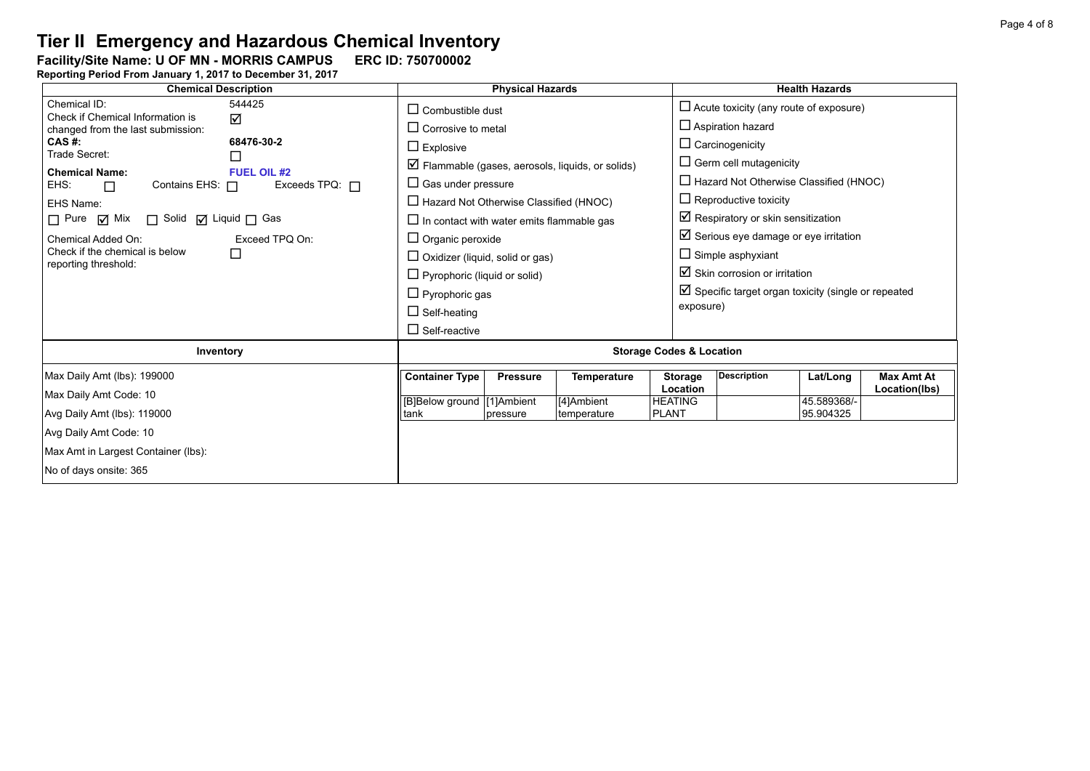Facility/Site Name: U OF MN - MORRIS CAMPUS ERC ID: 750700002

| <b>Chemical Description</b>                                                                                                                                                                                                                                                                                                                  | <b>Physical Hazards</b>                                                                                                                                                                                                                                                                                                                                                  | <b>Health Hazards</b>                                                                                                                                                                                                                                                                                                                                                                                |  |  |  |  |
|----------------------------------------------------------------------------------------------------------------------------------------------------------------------------------------------------------------------------------------------------------------------------------------------------------------------------------------------|--------------------------------------------------------------------------------------------------------------------------------------------------------------------------------------------------------------------------------------------------------------------------------------------------------------------------------------------------------------------------|------------------------------------------------------------------------------------------------------------------------------------------------------------------------------------------------------------------------------------------------------------------------------------------------------------------------------------------------------------------------------------------------------|--|--|--|--|
| Chemical ID:<br>544425<br>Check if Chemical Information is<br>☑<br>changed from the last submission:                                                                                                                                                                                                                                         | $\Box$ Combustible dust<br>$\Box$ Corrosive to metal                                                                                                                                                                                                                                                                                                                     | $\Box$ Acute toxicity (any route of exposure)<br>$\Box$ Aspiration hazard                                                                                                                                                                                                                                                                                                                            |  |  |  |  |
| CAS #:<br>68476-30-2<br>Trade Secret:<br>ப<br><b>Chemical Name:</b><br><b>FUEL OIL #2</b><br>Exceeds TPQ: $\Box$<br>EHS:<br>Contains EHS: $\Box$<br>$\Box$<br>EHS Name:<br>$\Box$ Pure $\Box$ Mix<br>$\Box$ Solid $\Box$ Liquid $\Box$ Gas<br>Exceed TPQ On:<br>Chemical Added On:<br>Check if the chemical is below<br>reporting threshold: | $\Box$ Explosive<br>$\Box$ Flammable (gases, aerosols, liquids, or solids)<br>$\Box$ Gas under pressure<br>$\Box$ Hazard Not Otherwise Classified (HNOC)<br>$\Box$ In contact with water emits flammable gas<br>$\Box$ Organic peroxide<br>$\Box$ Oxidizer (liquid, solid or gas)<br>$\Box$ Pyrophoric (liquid or solid)<br>$\Box$ Pyrophoric gas<br>$\Box$ Self-heating | $\Box$ Carcinogenicity<br>$\Box$ Germ cell mutagenicity<br>$\Box$ Hazard Not Otherwise Classified (HNOC)<br>$\Box$ Reproductive toxicity<br>$\boxtimes$ Respiratory or skin sensitization<br>$\boxtimes$ Serious eye damage or eye irritation<br>$\Box$ Simple asphyxiant<br>$\boxtimes$ Skin corrosion or irritation<br>$\boxtimes$ Specific target organ toxicity (single or repeated<br>exposure) |  |  |  |  |
|                                                                                                                                                                                                                                                                                                                                              | $\Box$ Self-reactive                                                                                                                                                                                                                                                                                                                                                     |                                                                                                                                                                                                                                                                                                                                                                                                      |  |  |  |  |
| Inventory                                                                                                                                                                                                                                                                                                                                    | <b>Storage Codes &amp; Location</b>                                                                                                                                                                                                                                                                                                                                      |                                                                                                                                                                                                                                                                                                                                                                                                      |  |  |  |  |
| Max Daily Amt (lbs): 199000<br>Max Daily Amt Code: 10<br>Avg Daily Amt (lbs): 119000<br>Avg Daily Amt Code: 10<br>Max Amt in Largest Container (Ibs):                                                                                                                                                                                        | <b>Container Type</b><br><b>Pressure</b><br><b>Temperature</b><br>[B]Below ground [1]Ambient<br>[4]Ambient<br><b>PLANT</b><br>tank<br>temperature<br>pressure                                                                                                                                                                                                            | <b>Description</b><br><b>Max Amt At</b><br><b>Storage</b><br>Lat/Long<br>Location<br>Location(lbs)<br><b>HEATING</b><br>45.589368/-<br>95.904325                                                                                                                                                                                                                                                     |  |  |  |  |
| No of days onsite: 365                                                                                                                                                                                                                                                                                                                       |                                                                                                                                                                                                                                                                                                                                                                          |                                                                                                                                                                                                                                                                                                                                                                                                      |  |  |  |  |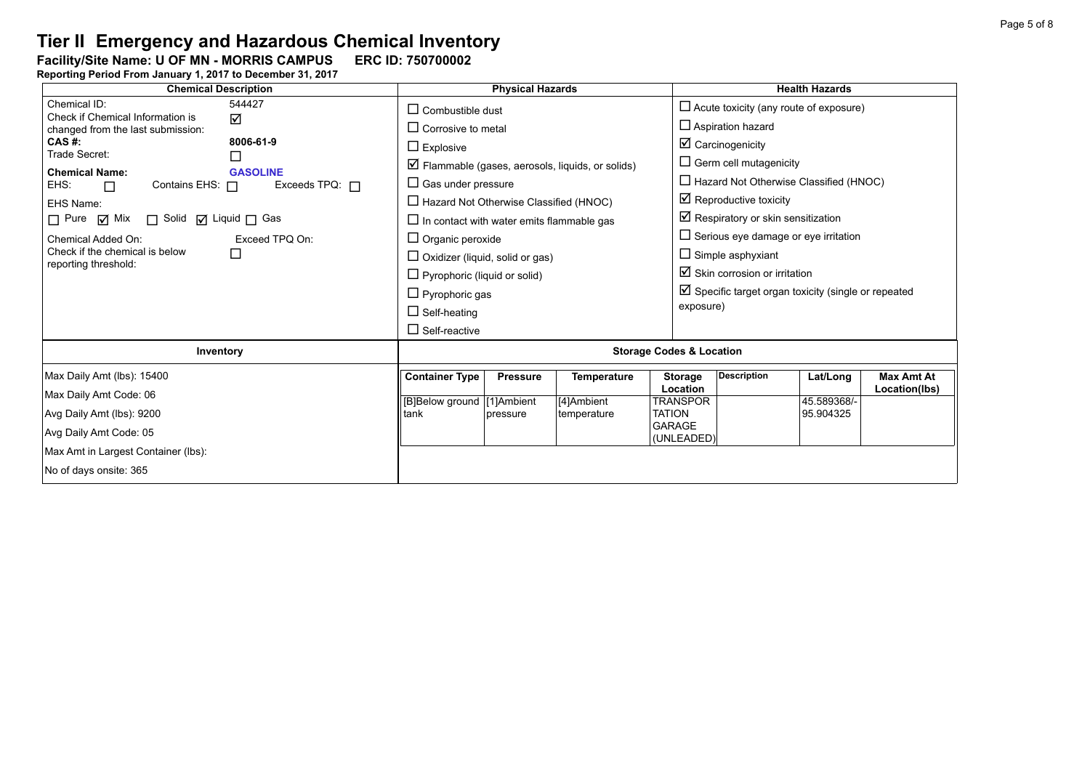Facility/Site Name: U OF MN - MORRIS CAMPUS ERC ID: 750700002

| <b>Chemical Description</b>                                                                                                                                                                                                                                                                                                                                                                                                                           |                                                                                                                                                                                                                                                                                                                                                                                                | <b>Physical Hazards</b>     |                                                                  |                                                                                                                                                                                                                    | <b>Health Hazards</b>                                                                                                                                                                                                                                            |                                    |  |  |
|-------------------------------------------------------------------------------------------------------------------------------------------------------------------------------------------------------------------------------------------------------------------------------------------------------------------------------------------------------------------------------------------------------------------------------------------------------|------------------------------------------------------------------------------------------------------------------------------------------------------------------------------------------------------------------------------------------------------------------------------------------------------------------------------------------------------------------------------------------------|-----------------------------|------------------------------------------------------------------|--------------------------------------------------------------------------------------------------------------------------------------------------------------------------------------------------------------------|------------------------------------------------------------------------------------------------------------------------------------------------------------------------------------------------------------------------------------------------------------------|------------------------------------|--|--|
| Chemical ID:<br>544427<br>Check if Chemical Information is<br>☑<br>changed from the last submission:<br>CAS #:<br>8006-61-9<br>Trade Secret:<br>П<br><b>Chemical Name:</b><br><b>GASOLINE</b><br>Contains EHS: 0<br>Exceeds TPQ: $\Box$<br>EHS:<br>$\Box$<br>EHS Name:<br>$\Box$ Pure $\Box$ Mix<br>$\Box$ Solid $\Box$ Liquid $\Box$ Gas<br>Chemical Added On:<br>Exceed TPO On:<br>Check if the chemical is below<br>$\Box$<br>reporting threshold: | $\Box$ Combustible dust<br>$\Box$ Corrosive to metal<br>$\Box$ Explosive<br>$\Box$ Gas under pressure<br>$\Box$ Hazard Not Otherwise Classified (HNOC)<br>$\Box$ In contact with water emits flammable gas<br>$\Box$ Organic peroxide<br>$\Box$ Oxidizer (liquid, solid or gas)<br>$\Box$ Pyrophoric (liquid or solid)<br>$\Box$ Pyrophoric gas<br>$\Box$ Self-heating<br>$\Box$ Self-reactive |                             | $\triangleright$ Flammable (gases, aerosols, liquids, or solids) | $\Box$ Aspiration hazard<br>$\boxtimes$ Carcinogenicity<br>$\Box$ Germ cell mutagenicity<br>$\boxtimes$ Reproductive toxicity<br>$\Box$ Simple asphyxiant<br>$\boxtimes$ Skin corrosion or irritation<br>exposure) | $\Box$ Acute toxicity (any route of exposure)<br>$\Box$ Hazard Not Otherwise Classified (HNOC)<br>$\boxtimes$ Respiratory or skin sensitization<br>$\Box$ Serious eye damage or eye irritation<br>$\boxtimes$ Specific target organ toxicity (single or repeated |                                    |  |  |
| Inventory                                                                                                                                                                                                                                                                                                                                                                                                                                             | <b>Storage Codes &amp; Location</b>                                                                                                                                                                                                                                                                                                                                                            |                             |                                                                  |                                                                                                                                                                                                                    |                                                                                                                                                                                                                                                                  |                                    |  |  |
| Max Daily Amt (lbs): 15400<br>Max Daily Amt Code: 06<br>Avg Daily Amt (lbs): 9200<br>Avg Daily Amt Code: 05<br>Max Amt in Largest Container (lbs):<br>No of days onsite: 365                                                                                                                                                                                                                                                                          | <b>Container Type</b><br>[B]Below ground [1]Ambient<br>tank                                                                                                                                                                                                                                                                                                                                    | <b>Pressure</b><br>pressure | <b>Temperature</b><br>[4]Ambient<br>temperature                  | <b>Description</b><br><b>Storage</b><br><b>Location</b><br>TRANSPOR<br><b>TATION</b><br><b>GARAGE</b><br>(UNLEADED)                                                                                                | Lat/Long<br>45.589368/-<br>95.904325                                                                                                                                                                                                                             | <b>Max Amt At</b><br>Location(lbs) |  |  |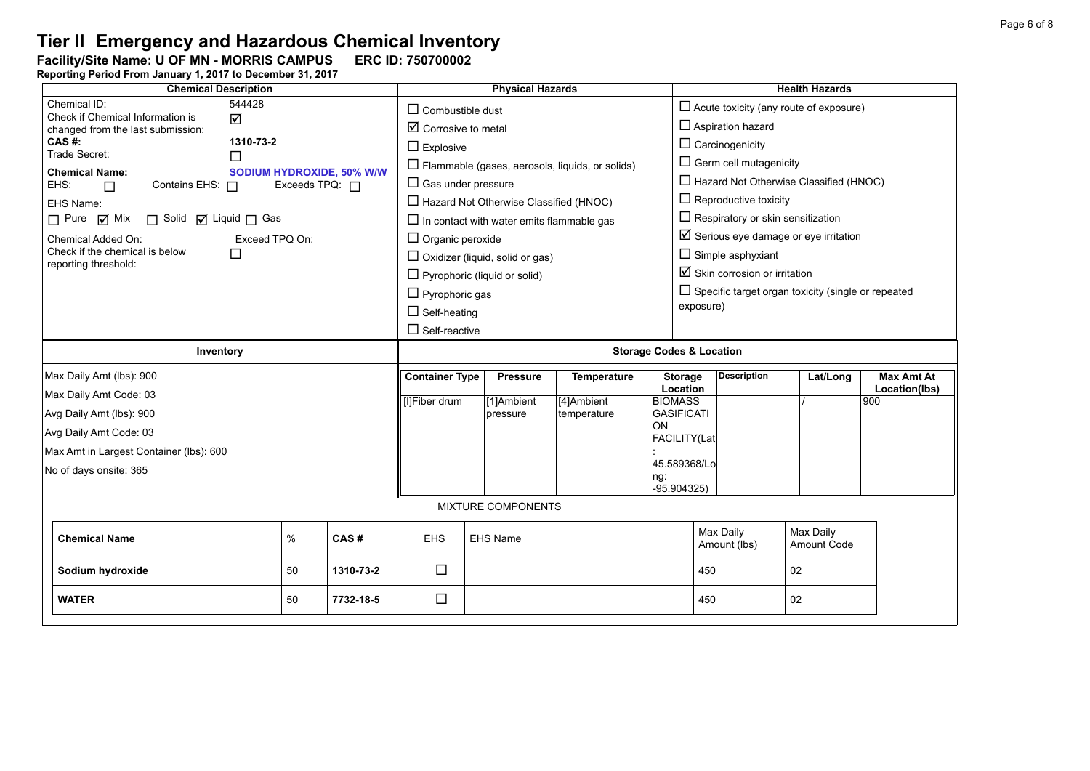Facility/Site Name: U OF MN - MORRIS CAMPUS ERC ID: 750700002

| <b>Chemical Description</b>                                     |                                | <b>Physical Hazards</b>                          |                                                        |                         |                                          | <b>Health Hazards</b>                                     |                   |  |  |
|-----------------------------------------------------------------|--------------------------------|--------------------------------------------------|--------------------------------------------------------|-------------------------|------------------------------------------|-----------------------------------------------------------|-------------------|--|--|
| Chemical ID:<br>544428<br>Check if Chemical Information is<br>☑ | $\Box$ Combustible dust        |                                                  |                                                        |                         |                                          | $\Box$ Acute toxicity (any route of exposure)             |                   |  |  |
| changed from the last submission:                               | $\boxtimes$ Corrosive to metal |                                                  |                                                        |                         | $\Box$ Aspiration hazard                 |                                                           |                   |  |  |
| CAS #:<br>1310-73-2<br>Trade Secret:                            | $\Box$ Explosive               |                                                  |                                                        |                         | $\Box$ Carcinogenicity                   |                                                           |                   |  |  |
| □<br><b>SODIUM HYDROXIDE, 50% W/W</b><br><b>Chemical Name:</b>  |                                |                                                  | $\Box$ Flammable (gases, aerosols, liquids, or solids) |                         | $\Box$ Germ cell mutagenicity            |                                                           |                   |  |  |
| Contains EHS: 0<br>Exceeds TPQ: $\Box$<br>EHS:<br>$\Box$        | $\Box$ Gas under pressure      |                                                  |                                                        |                         |                                          | $\Box$ Hazard Not Otherwise Classified (HNOC)             |                   |  |  |
| EHS Name:                                                       |                                | $\Box$ Hazard Not Otherwise Classified (HNOC)    |                                                        |                         | $\Box$ Reproductive toxicity             |                                                           |                   |  |  |
| $\Box$ Pure $\Box$ Mix<br>□ Solid □ Liquid □ Gas                |                                | $\Box$ In contact with water emits flammable gas |                                                        |                         |                                          | $\Box$ Respiratory or skin sensitization                  |                   |  |  |
| Chemical Added On:<br>Exceed TPQ On:                            | $\Box$ Organic peroxide        |                                                  |                                                        |                         |                                          | $\boxtimes$ Serious eye damage or eye irritation          |                   |  |  |
| Check if the chemical is below<br>П                             |                                | $\Box$ Oxidizer (liquid, solid or gas)           |                                                        |                         | $\Box$ Simple asphyxiant                 |                                                           |                   |  |  |
| reporting threshold:                                            |                                | $\Box$ Pyrophoric (liquid or solid)              |                                                        |                         | $\boxtimes$ Skin corrosion or irritation |                                                           |                   |  |  |
|                                                                 | $\Box$ Pyrophoric gas          |                                                  |                                                        |                         |                                          | $\Box$ Specific target organ toxicity (single or repeated |                   |  |  |
|                                                                 | $\Box$ Self-heating            |                                                  |                                                        | exposure)               |                                          |                                                           |                   |  |  |
|                                                                 | $\Box$ Self-reactive           |                                                  |                                                        |                         |                                          |                                                           |                   |  |  |
| Inventory                                                       |                                | <b>Storage Codes &amp; Location</b>              |                                                        |                         |                                          |                                                           |                   |  |  |
| Max Daily Amt (lbs): 900                                        | <b>Container Type</b>          | <b>Pressure</b>                                  | <b>Temperature</b>                                     | <b>Storage</b>          | <b>Description</b>                       | Lat/Long                                                  | <b>Max Amt At</b> |  |  |
|                                                                 |                                |                                                  |                                                        | Location                |                                          |                                                           | Location(lbs)     |  |  |
| Max Daily Amt Code: 03                                          | [I]Fiber drum                  | $\sqrt{11}$ Ambient                              | [4]Ambient                                             | <b>BIOMASS</b>          |                                          |                                                           | 900               |  |  |
| Avg Daily Amt (lbs): 900                                        |                                | pressure                                         | temperature                                            | <b>GASIFICATI</b><br>ON |                                          |                                                           |                   |  |  |
| Avg Daily Amt Code: 03                                          |                                |                                                  |                                                        | FACILITY(Lat            |                                          |                                                           |                   |  |  |
| Max Amt in Largest Container (lbs): 600                         |                                |                                                  |                                                        | 45.589368/Lo            |                                          |                                                           |                   |  |  |
| No of days onsite: 365                                          |                                |                                                  |                                                        | ng:                     |                                          |                                                           |                   |  |  |
|                                                                 |                                |                                                  |                                                        | $-95.904325$            |                                          |                                                           |                   |  |  |
|                                                                 |                                | MIXTURE COMPONENTS                               |                                                        |                         |                                          |                                                           |                   |  |  |
| $\%$<br>CAS#<br><b>Chemical Name</b>                            | <b>EHS</b>                     | <b>EHS Name</b>                                  |                                                        |                         | Max Daily<br>Amount (lbs)                | Max Daily<br>Amount Code                                  |                   |  |  |
|                                                                 |                                |                                                  |                                                        |                         |                                          |                                                           |                   |  |  |
| 1310-73-2<br>Sodium hydroxide<br>50                             | $\Box$                         |                                                  |                                                        | 450                     |                                          | 02                                                        |                   |  |  |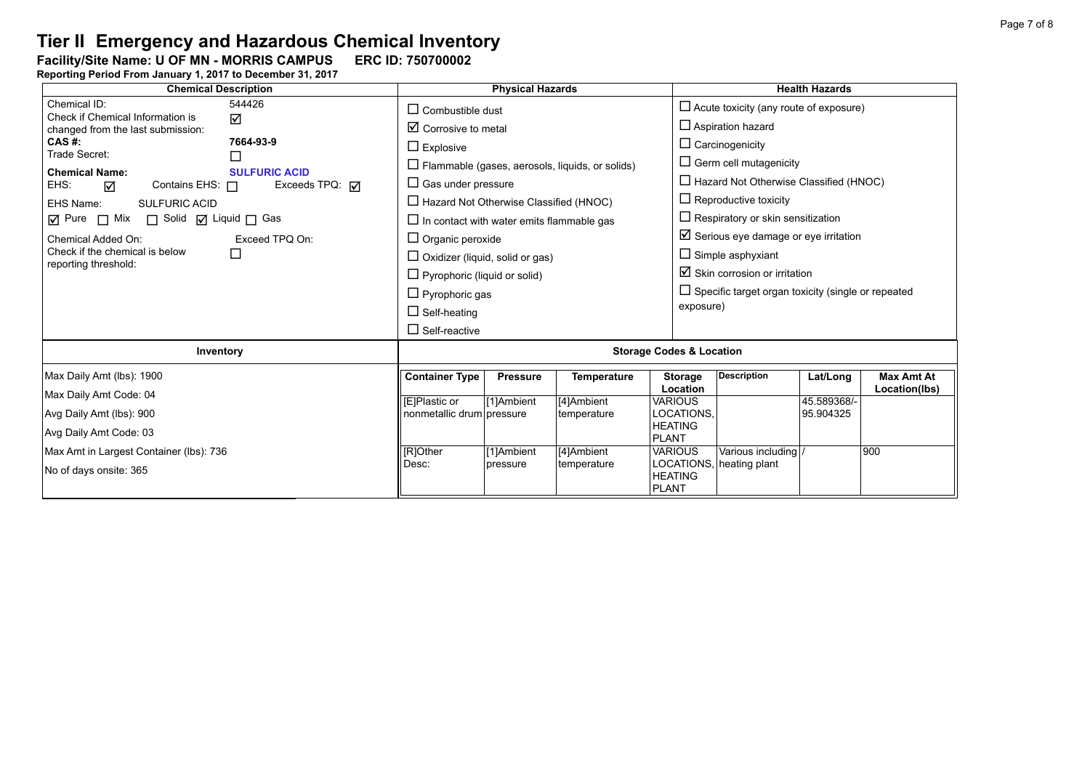Facility/Site Name: U OF MN - MORRIS CAMPUS ERC ID: 750700002

| <b>Chemical Description</b>                                                                                                       |                                             | <b>Physical Hazards</b>                                                                                                                                                                                       |                                                        |                                                  |                                                                                | <b>Health Hazards</b>                                                                        |                                    |  |  |
|-----------------------------------------------------------------------------------------------------------------------------------|---------------------------------------------|---------------------------------------------------------------------------------------------------------------------------------------------------------------------------------------------------------------|--------------------------------------------------------|--------------------------------------------------|--------------------------------------------------------------------------------|----------------------------------------------------------------------------------------------|------------------------------------|--|--|
| Chemical ID:<br>544426<br>Check if Chemical Information is<br>☑                                                                   |                                             | $\Box$ Combustible dust                                                                                                                                                                                       |                                                        |                                                  | $\Box$ Acute toxicity (any route of exposure)<br>$\Box$ Aspiration hazard      |                                                                                              |                                    |  |  |
| changed from the last submission:<br>CAS #:<br>7664-93-9                                                                          | $\Box$ Explosive                            | $\boxtimes$ Corrosive to metal                                                                                                                                                                                |                                                        |                                                  |                                                                                |                                                                                              |                                    |  |  |
| Trade Secret:<br>П<br><b>Chemical Name:</b><br><b>SULFURIC ACID</b><br>Contains EHS: $\Box$<br>Exceeds TPQ: <b>M</b><br>EHS:<br>☑ | $\Box$ Gas under pressure                   |                                                                                                                                                                                                               | $\Box$ Flammable (gases, aerosols, liquids, or solids) |                                                  | $\Box$ Germ cell mutagenicity<br>$\Box$ Hazard Not Otherwise Classified (HNOC) |                                                                                              |                                    |  |  |
| <b>SULFURIC ACID</b><br>EHS Name:                                                                                                 |                                             | $\Box$ Hazard Not Otherwise Classified (HNOC)<br>$\Box$ In contact with water emits flammable gas<br>$\Box$ Organic peroxide<br>$\Box$ Oxidizer (liquid, solid or gas)<br>$\Box$ Pyrophoric (liquid or solid) |                                                        |                                                  |                                                                                | $\Box$ Reproductive toxicity                                                                 |                                    |  |  |
| ☑ Pure □ Mix □ Solid ☑ Liquid □ Gas<br>Chemical Added On:<br>Exceed TPQ On:                                                       |                                             |                                                                                                                                                                                                               |                                                        |                                                  |                                                                                | $\Box$ Respiratory or skin sensitization<br>$\boxtimes$ Serious eye damage or eye irritation |                                    |  |  |
| Check if the chemical is below<br>$\Box$<br>reporting threshold:                                                                  |                                             |                                                                                                                                                                                                               |                                                        |                                                  |                                                                                | $\Box$ Simple asphyxiant<br>$\boxtimes$ Skin corrosion or irritation                         |                                    |  |  |
|                                                                                                                                   |                                             | $\Box$ Pyrophoric gas                                                                                                                                                                                         |                                                        |                                                  |                                                                                | $\Box$ Specific target organ toxicity (single or repeated<br>exposure)                       |                                    |  |  |
|                                                                                                                                   | $\Box$ Self-heating<br>$\Box$ Self-reactive |                                                                                                                                                                                                               |                                                        |                                                  |                                                                                |                                                                                              |                                    |  |  |
| Inventory                                                                                                                         |                                             | <b>Storage Codes &amp; Location</b>                                                                                                                                                                           |                                                        |                                                  |                                                                                |                                                                                              |                                    |  |  |
| Max Daily Amt (lbs): 1900                                                                                                         | <b>Container Type</b>                       | <b>Pressure</b>                                                                                                                                                                                               | <b>Temperature</b>                                     | <b>Storage</b><br>Location                       | <b>Description</b>                                                             | Lat/Long                                                                                     | <b>Max Amt At</b><br>Location(lbs) |  |  |
| Max Daily Amt Code: 04<br>Avg Daily Amt (lbs): 900                                                                                | [E]Plastic or<br>nonmetallic drum pressure  | [1]Ambient                                                                                                                                                                                                    | [4]Ambient<br>temperature                              | <b>VARIOUS</b><br>LOCATIONS.                     |                                                                                | 45.589368/-<br>95.904325                                                                     |                                    |  |  |
| Avg Daily Amt Code: 03                                                                                                            |                                             |                                                                                                                                                                                                               |                                                        | <b>HEATING</b><br><b>PLANT</b>                   |                                                                                |                                                                                              |                                    |  |  |
| Max Amt in Largest Container (lbs): 736<br>No of days onsite: 365                                                                 | [R]Other<br>Desc:                           | [1]Ambient<br>pressure                                                                                                                                                                                        | [4]Ambient<br>temperature                              | <b>VARIOUS</b><br><b>HEATING</b><br><b>PLANT</b> | Various including<br>LOCATIONS, heating plant                                  |                                                                                              | 900                                |  |  |